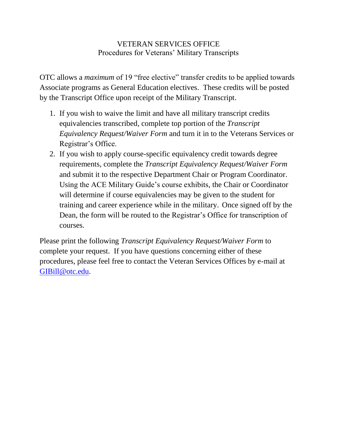## VETERAN SERVICES OFFICE Procedures for Veterans' Military Transcripts

OTC allows a *maximum* of 19 "free elective" transfer credits to be applied towards Associate programs as General Education electives. These credits will be posted by the Transcript Office upon receipt of the Military Transcript.

- 1. If you wish to waive the limit and have all military transcript credits equivalencies transcribed, complete top portion of the *Transcript Equivalency Request/Waiver Form* and turn it in to the Veterans Services or Registrar's Office.
- 2. If you wish to apply course-specific equivalency credit towards degree requirements, complete the *Transcript Equivalency Request/Waiver Form* and submit it to the respective Department Chair or Program Coordinator. Using the ACE Military Guide's course exhibits, the Chair or Coordinator will determine if course equivalencies may be given to the student for training and career experience while in the military. Once signed off by the Dean, the form will be routed to the Registrar's Office for transcription of courses.

Please print the following *Transcript Equivalency Request/Waiver Form* to complete your request. If you have questions concerning either of these procedures, please feel free to contact the Veteran Services Offices by e-mail at [GIBill@otc.edu.](mailto:GIBill@otc.edu)